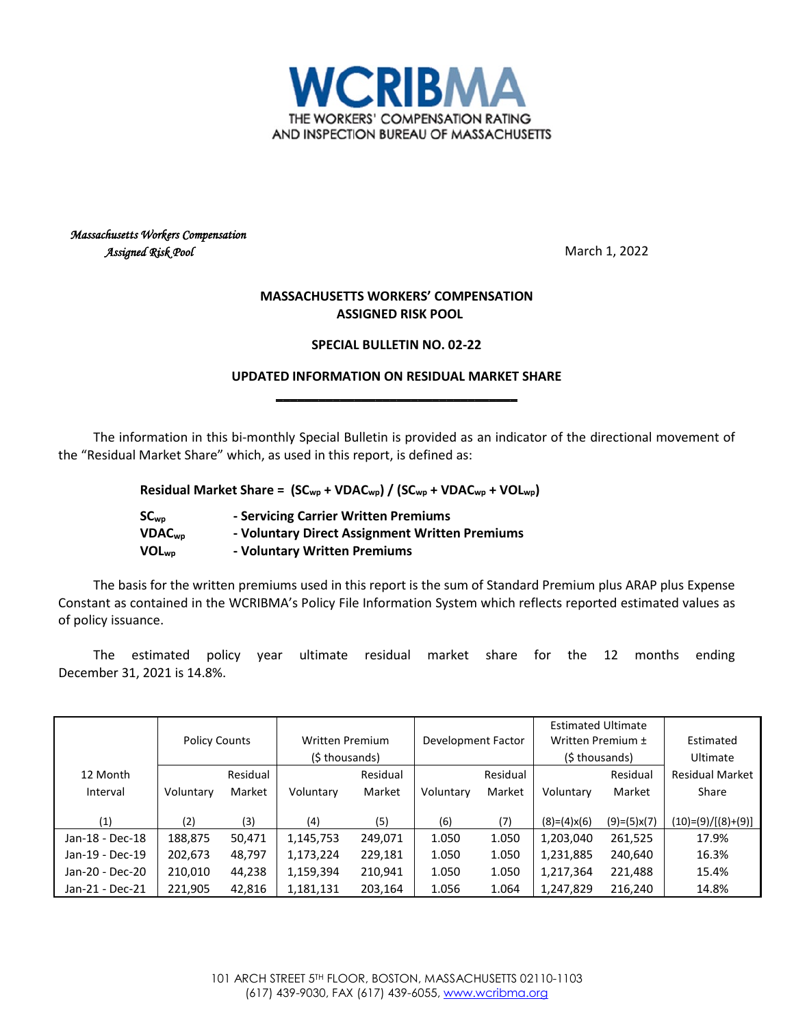

## *Massachusetts Workers Compensation Assigned Risk Pool* March 1, 2022

## **MASSACHUSETTS WORKERS' COMPENSATION ASSIGNED RISK POOL**

## **SPECIAL BULLETIN NO. 02-22**

## **UPDATED INFORMATION ON RESIDUAL MARKET SHARE \_\_\_\_\_\_\_\_\_\_\_\_\_\_\_\_\_\_\_\_\_\_\_\_\_\_\_\_\_\_\_\_\_\_**

The information in this bi-monthly Special Bulletin is provided as an indicator of the directional movement of the "Residual Market Share" which, as used in this report, is defined as:

**Residual Market Share = (SCwp + VDACwp) / (SCwp + VDACwp + VOLwp)**

| SC <sub>wo</sub>   | - Servicing Carrier Written Premiums           |
|--------------------|------------------------------------------------|
| VDAC <sub>WD</sub> | - Voluntary Direct Assignment Written Premiums |
| VOL <sub>wp</sub>  | - Voluntary Written Premiums                   |

The basis for the written premiums used in this report is the sum of Standard Premium plus ARAP plus Expense Constant as contained in the WCRIBMA's Policy File Information System which reflects reported estimated values as of policy issuance.

The estimated policy year ultimate residual market share for the 12 months ending December 31, 2021 is 14.8%.

|                 |                      |          |                        |          |                    |          | <b>Estimated Ultimate</b> |               |                        |
|-----------------|----------------------|----------|------------------------|----------|--------------------|----------|---------------------------|---------------|------------------------|
|                 | <b>Policy Counts</b> |          | <b>Written Premium</b> |          | Development Factor |          | Written Premium ±         |               | Estimated              |
|                 |                      |          | (\$ thousands)         |          |                    |          | (\$ thousands)            |               | Ultimate               |
| 12 Month        |                      | Residual |                        | Residual |                    | Residual |                           | Residual      | <b>Residual Market</b> |
| Interval        | Voluntary            | Market   | Voluntary              | Market   | Voluntary          | Market   | Voluntary                 | Market        | Share                  |
|                 |                      |          |                        |          |                    |          |                           |               |                        |
| (1)             | (2)                  | (3)      | (4)                    | (5)      | (6)                | (7)      | $(8)=(4)x(6)$             | $(9)=(5)x(7)$ | $(10)=(9)/[(8)+(9)]$   |
| Jan-18 - Dec-18 | 188,875              | 50,471   | 1,145,753              | 249,071  | 1.050              | 1.050    | 1,203,040                 | 261,525       | 17.9%                  |
| Jan-19 - Dec-19 | 202,673              | 48,797   | 1,173,224              | 229,181  | 1.050              | 1.050    | 1,231,885                 | 240,640       | 16.3%                  |
| Jan-20 - Dec-20 | 210,010              | 44,238   | 1,159,394              | 210,941  | 1.050              | 1.050    | 1,217,364                 | 221,488       | 15.4%                  |
| Jan-21 - Dec-21 | 221,905              | 42,816   | 1,181,131              | 203,164  | 1.056              | 1.064    | 1,247,829                 | 216,240       | 14.8%                  |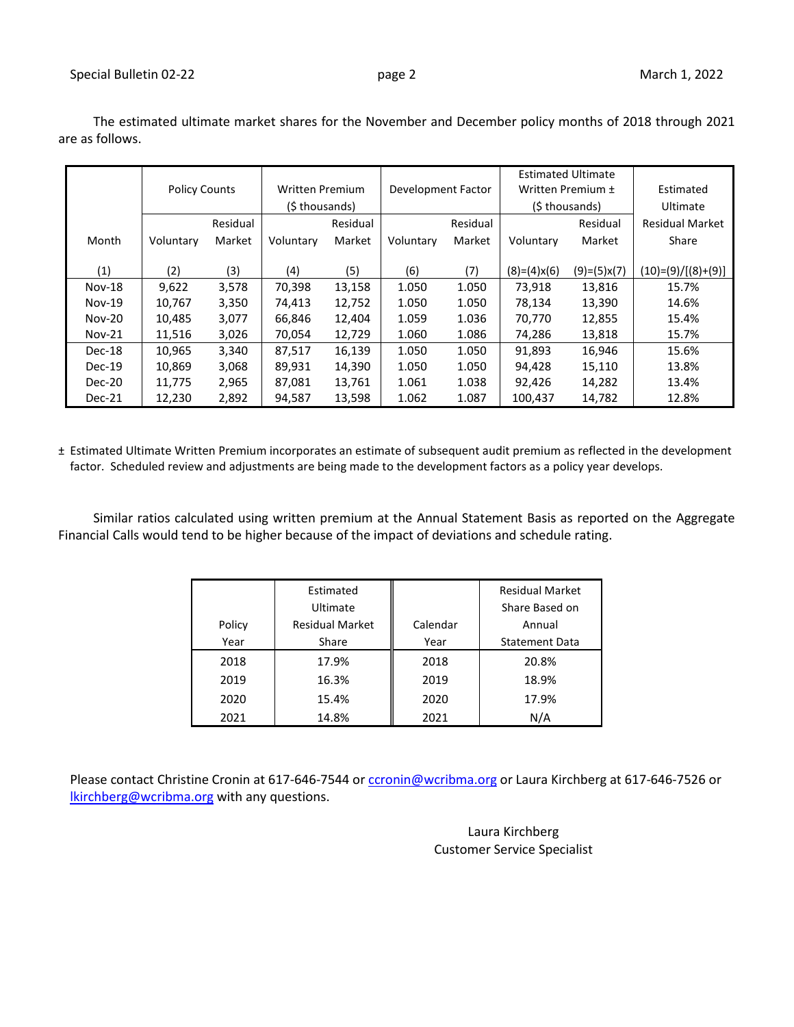Special Bulletin 02-22 **page 2** page 2 March 1, 2022

|               |                      |          |                        |          |                    |          | <b>Estimated Ultimate</b> |               |                        |
|---------------|----------------------|----------|------------------------|----------|--------------------|----------|---------------------------|---------------|------------------------|
|               | <b>Policy Counts</b> |          | <b>Written Premium</b> |          | Development Factor |          | Written Premium ±         |               | Estimated              |
|               |                      |          | (\$ thousands)         |          |                    |          | (\$ thousands)            |               | Ultimate               |
|               |                      | Residual |                        | Residual |                    | Residual |                           | Residual      | <b>Residual Market</b> |
| Month         | Voluntary            | Market   | Voluntary              | Market   | Voluntary          | Market   | Voluntary                 | Market        | Share                  |
|               |                      |          |                        |          |                    |          |                           |               |                        |
| (1)           | (2)                  | (3)      | (4)                    | (5)      | (6)                | (7)      | $(8)=(4)x(6)$             | $(9)=(5)x(7)$ | $(10)= (9)/[(8)+(9)]$  |
| <b>Nov-18</b> | 9,622                | 3,578    | 70,398                 | 13,158   | 1.050              | 1.050    | 73,918                    | 13,816        | 15.7%                  |
| $Nov-19$      | 10,767               | 3,350    | 74,413                 | 12,752   | 1.050              | 1.050    | 78,134                    | 13,390        | 14.6%                  |
| <b>Nov-20</b> | 10.485               | 3,077    | 66,846                 | 12,404   | 1.059              | 1.036    | 70,770                    | 12,855        | 15.4%                  |
| $Nov-21$      | 11,516               | 3,026    | 70,054                 | 12,729   | 1.060              | 1.086    | 74,286                    | 13,818        | 15.7%                  |
| Dec-18        | 10,965               | 3,340    | 87,517                 | 16,139   | 1.050              | 1.050    | 91,893                    | 16,946        | 15.6%                  |
| $Dec-19$      | 10,869               | 3,068    | 89,931                 | 14,390   | 1.050              | 1.050    | 94,428                    | 15,110        | 13.8%                  |
| Dec-20        | 11,775               | 2,965    | 87,081                 | 13,761   | 1.061              | 1.038    | 92,426                    | 14,282        | 13.4%                  |
| Dec-21        | 12,230               | 2,892    | 94,587                 | 13,598   | 1.062              | 1.087    | 100,437                   | 14,782        | 12.8%                  |

The estimated ultimate market shares for the November and December policy months of 2018 through 2021 are as follows.

± Estimated Ultimate Written Premium incorporates an estimate of subsequent audit premium as reflected in the development factor. Scheduled review and adjustments are being made to the development factors as a policy year develops.

Similar ratios calculated using written premium at the Annual Statement Basis as reported on the Aggregate Financial Calls would tend to be higher because of the impact of deviations and schedule rating.

|        | Estimated<br>Ultimate  |          | <b>Residual Market</b><br>Share Based on |
|--------|------------------------|----------|------------------------------------------|
| Policy | <b>Residual Market</b> | Calendar | Annual                                   |
| Year   | Share                  | Year     | <b>Statement Data</b>                    |
| 2018   | 17.9%                  | 2018     | 20.8%                                    |
| 2019   | 16.3%                  | 2019     | 18.9%                                    |
| 2020   | 15.4%                  | 2020     | 17.9%                                    |
| 2021   | 14.8%                  | 2021     | N/A                                      |

Please contact Christine Cronin at 617-646-7544 or [ccronin@wcribma.org](mailto:ccronin@wcribma.org) or Laura Kirchberg at 617-646-7526 or [lkirchberg@wcribma.org](mailto:lkirchberg@wcribma.org) with any questions.

> Laura Kirchberg Customer Service Specialist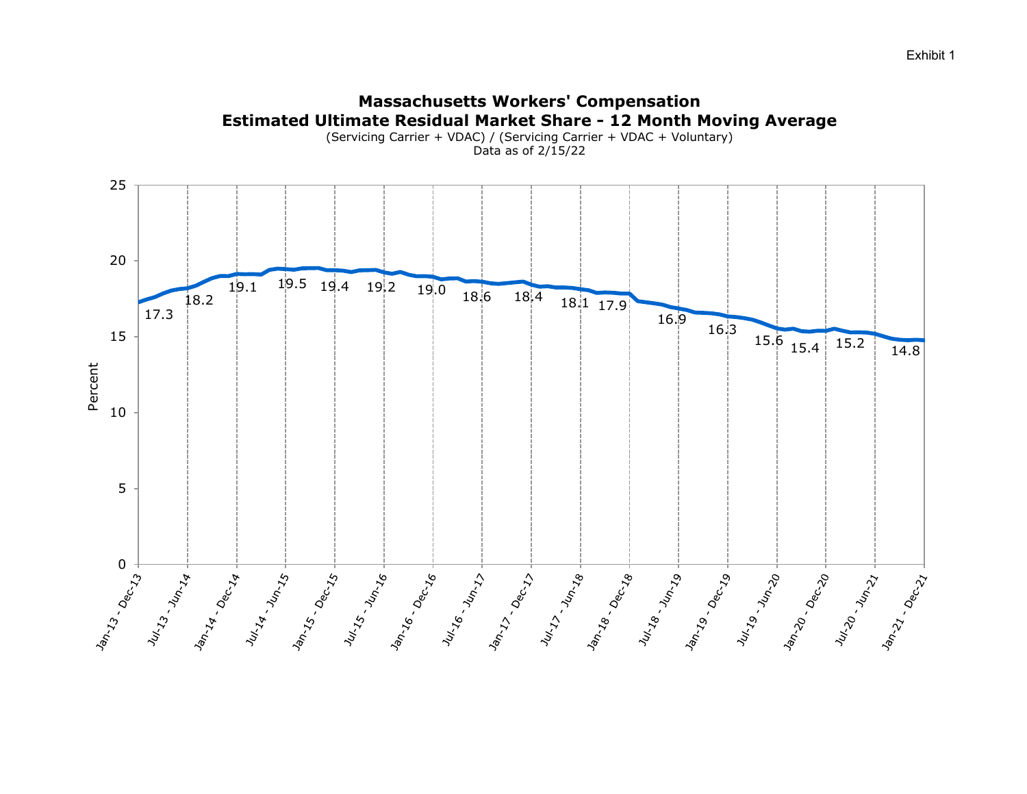